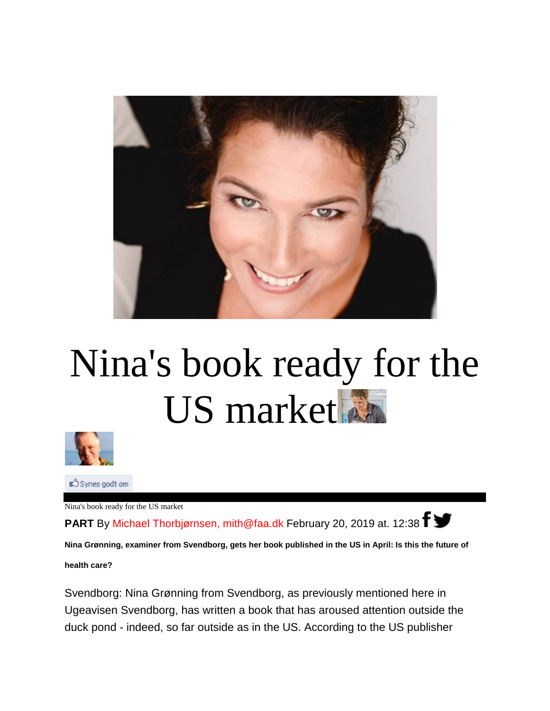

## Nina's book ready for the US market



Synes godt om

Nina's book ready for the US market

**PART** By Michael Thorbjørnsen, mith@faa.dk February 20, 2019 at. 12:38 **f** 



**Nina Grønning, examiner from Svendborg, gets her book published in the US in April: Is this the future of** 

**health care?**

Svendborg: Nina Grønning from Svendborg, as previously mentioned here in Ugeavisen Svendborg, has written a book that has aroused attention outside the duck pond - indeed, so far outside as in the US. According to the US publisher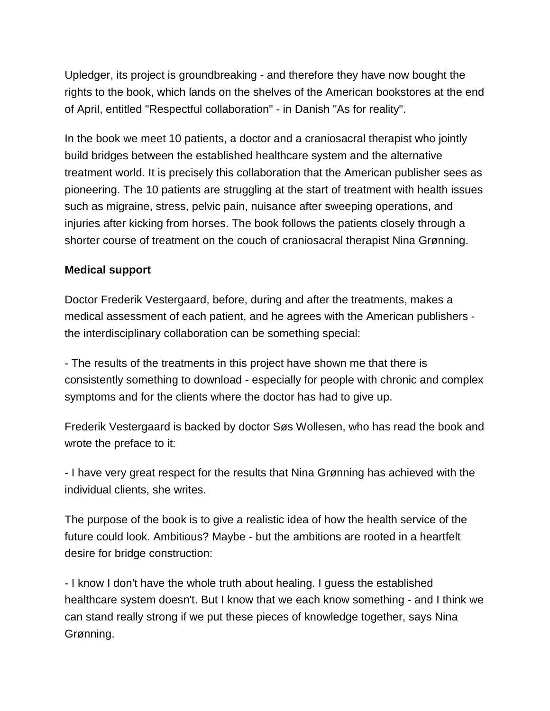Upledger, its project is groundbreaking - and therefore they have now bought the rights to the book, which lands on the shelves of the American bookstores at the end of April, entitled "Respectful collaboration" - in Danish "As for reality".

In the book we meet 10 patients, a doctor and a craniosacral therapist who jointly build bridges between the established healthcare system and the alternative treatment world. It is precisely this collaboration that the American publisher sees as pioneering. The 10 patients are struggling at the start of treatment with health issues such as migraine, stress, pelvic pain, nuisance after sweeping operations, and injuries after kicking from horses. The book follows the patients closely through a shorter course of treatment on the couch of craniosacral therapist Nina Grønning.

## **Medical support**

Doctor Frederik Vestergaard, before, during and after the treatments, makes a medical assessment of each patient, and he agrees with the American publishers the interdisciplinary collaboration can be something special:

- The results of the treatments in this project have shown me that there is consistently something to download - especially for people with chronic and complex symptoms and for the clients where the doctor has had to give up.

Frederik Vestergaard is backed by doctor Søs Wollesen, who has read the book and wrote the preface to it:

- I have very great respect for the results that Nina Grønning has achieved with the individual clients, she writes.

The purpose of the book is to give a realistic idea of how the health service of the future could look. Ambitious? Maybe - but the ambitions are rooted in a heartfelt desire for bridge construction:

- I know I don't have the whole truth about healing. I guess the established healthcare system doesn't. But I know that we each know something - and I think we can stand really strong if we put these pieces of knowledge together, says Nina Grønning.